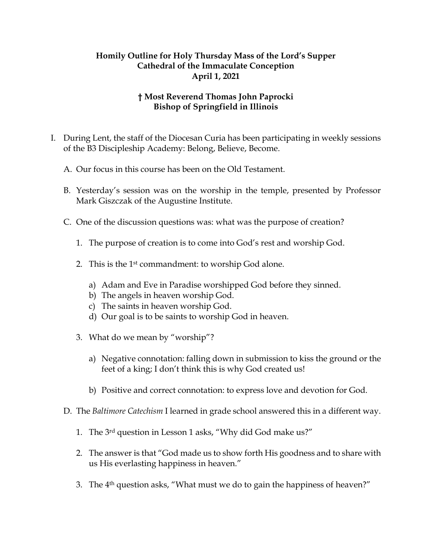## **Homily Outline for Holy Thursday Mass of the Lord's Supper Cathedral of the Immaculate Conception April 1, 2021**

## **† Most Reverend Thomas John Paprocki Bishop of Springfield in Illinois**

- I. During Lent, the staff of the Diocesan Curia has been participating in weekly sessions of the B3 Discipleship Academy: Belong, Believe, Become.
	- A. Our focus in this course has been on the Old Testament.
	- B. Yesterday's session was on the worship in the temple, presented by Professor Mark Giszczak of the Augustine Institute.
	- C. One of the discussion questions was: what was the purpose of creation?
		- 1. The purpose of creation is to come into God's rest and worship God.
		- 2. This is the 1st commandment: to worship God alone.
			- a) Adam and Eve in Paradise worshipped God before they sinned.
			- b) The angels in heaven worship God.
			- c) The saints in heaven worship God.
			- d) Our goal is to be saints to worship God in heaven.
		- 3. What do we mean by "worship"?
			- a) Negative connotation: falling down in submission to kiss the ground or the feet of a king; I don't think this is why God created us!
			- b) Positive and correct connotation: to express love and devotion for God.
	- D. The *Baltimore Catechism* I learned in grade school answered this in a different way.
		- 1. The 3rd question in Lesson 1 asks, "Why did God make us?"
		- 2. The answer is that "God made us to show forth His goodness and to share with us His everlasting happiness in heaven."
		- 3. The 4th question asks, "What must we do to gain the happiness of heaven?"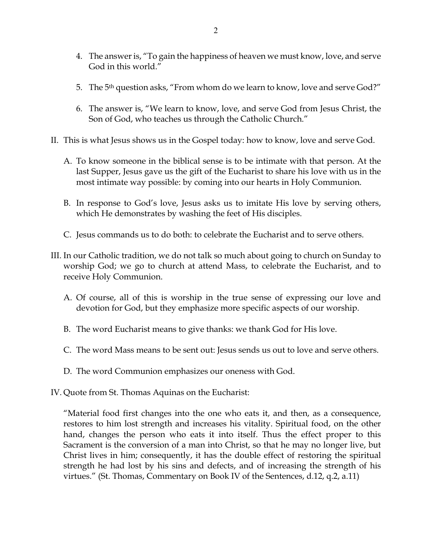- 4. The answer is, "To gain the happiness of heaven we must know, love, and serve God in this world."
- 5. The 5<sup>th</sup> question asks, "From whom do we learn to know, love and serve God?"
- 6. The answer is, "We learn to know, love, and serve God from Jesus Christ, the Son of God, who teaches us through the Catholic Church."
- II. This is what Jesus shows us in the Gospel today: how to know, love and serve God.
	- A. To know someone in the biblical sense is to be intimate with that person. At the last Supper, Jesus gave us the gift of the Eucharist to share his love with us in the most intimate way possible: by coming into our hearts in Holy Communion.
	- B. In response to God's love, Jesus asks us to imitate His love by serving others, which He demonstrates by washing the feet of His disciples.
	- C. Jesus commands us to do both: to celebrate the Eucharist and to serve others.
- III. In our Catholic tradition, we do not talk so much about going to church on Sunday to worship God; we go to church at attend Mass, to celebrate the Eucharist, and to receive Holy Communion.
	- A. Of course, all of this is worship in the true sense of expressing our love and devotion for God, but they emphasize more specific aspects of our worship.
	- B. The word Eucharist means to give thanks: we thank God for His love.
	- C. The word Mass means to be sent out: Jesus sends us out to love and serve others.
	- D. The word Communion emphasizes our oneness with God.
- IV. Quote from St. Thomas Aquinas on the Eucharist:

"Material food first changes into the one who eats it, and then, as a consequence, restores to him lost strength and increases his vitality. Spiritual food, on the other hand, changes the person who eats it into itself. Thus the effect proper to this Sacrament is the conversion of a man into Christ, so that he may no longer live, but Christ lives in him; consequently, it has the double effect of restoring the spiritual strength he had lost by his sins and defects, and of increasing the strength of his virtues." (St. Thomas, Commentary on Book IV of the Sentences, d.12, q.2, a.11)